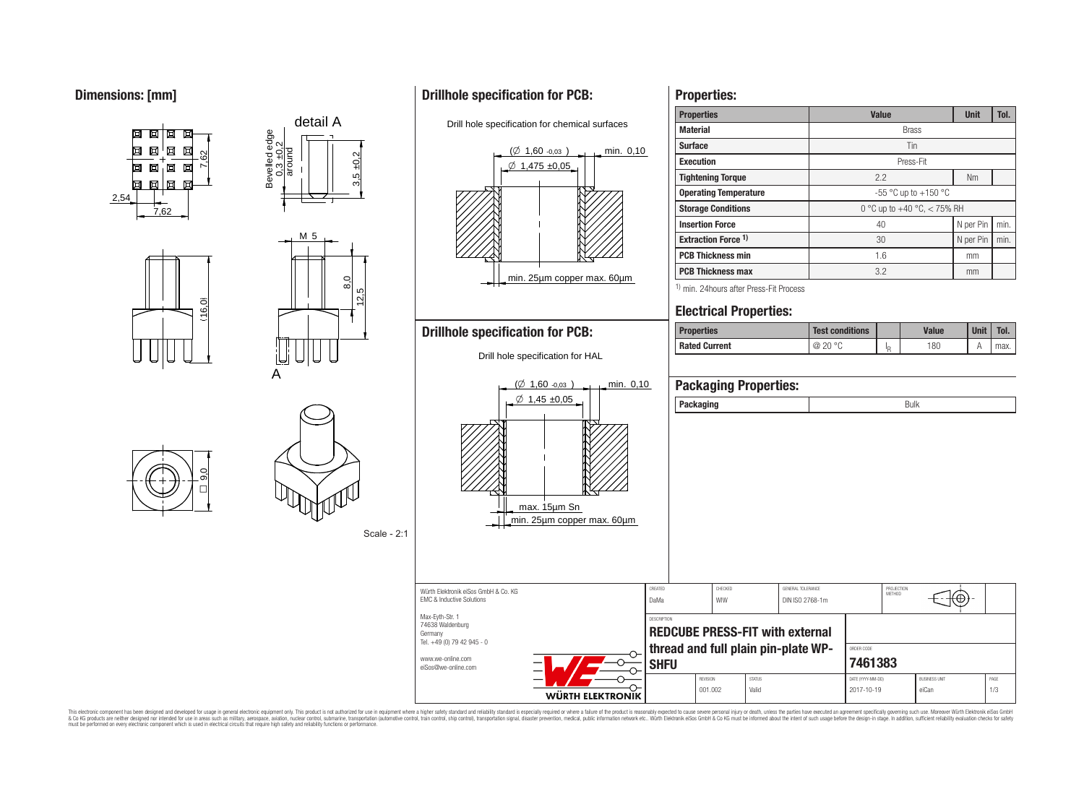## **Dimensions: [mm]**



8,0

12,5

Scale - 2:1

Germany

Tel. +49 (0) 79 42 945 - 0 www.we-online.com eiSos@we-online.com

 $5 + 0,2$ 

M 5

detail A

# **Drillhole specification for PCB:**

Drill hole specification for chemical surfaces



**REDCUBE PRESS-FIT with external thread and full plain pin-plate WP-**

**SHFU**

O

WÜRTH ELEKTRONIK

| <b>Properties:</b>                                  |                               |                           |              |      |             |      |  |  |
|-----------------------------------------------------|-------------------------------|---------------------------|--------------|------|-------------|------|--|--|
| <b>Properties</b>                                   | <b>Value</b>                  |                           | <b>Unit</b>  | Tol. |             |      |  |  |
| <b>Material</b>                                     | <b>Brass</b>                  |                           |              |      |             |      |  |  |
| <b>Surface</b>                                      | Tin                           |                           |              |      |             |      |  |  |
| <b>Execution</b>                                    | Press-Fit                     |                           |              |      |             |      |  |  |
| <b>Tightening Torque</b>                            | 2.2                           |                           |              |      | <b>Nm</b>   |      |  |  |
| <b>Operating Temperature</b>                        | -55 °C up to +150 °C          |                           |              |      |             |      |  |  |
| <b>Storage Conditions</b>                           | 0 °C up to +40 °C, $<$ 75% RH |                           |              |      |             |      |  |  |
| <b>Insertion Force</b>                              | 40                            | N per Pin                 |              | min. |             |      |  |  |
| <b>Extraction Force 1)</b>                          | 30                            | N per Pin                 |              | min. |             |      |  |  |
| <b>PCB Thickness min</b>                            | 1.6                           |                           |              |      | mm          |      |  |  |
| <b>PCB Thickness max</b>                            | 3.2                           |                           |              |      | mm          |      |  |  |
| <sup>1)</sup> min. 24 hours after Press-Fit Process |                               |                           |              |      |             |      |  |  |
| <b>Electrical Properties:</b>                       |                               |                           |              |      |             |      |  |  |
| <b>Properties</b>                                   | <b>Test conditions</b>        |                           | <b>Value</b> |      | <b>Unit</b> | Tol. |  |  |
| <b>Rated Current</b>                                | @ 20 °C                       | $\mathsf{I}_{\mathsf{R}}$ | 180          |      | Α           | max. |  |  |
|                                                     |                               |                           |              |      |             |      |  |  |
| <b>Packaging Properties:</b>                        |                               |                           |              |      |             |      |  |  |
| Packaging                                           | <b>Bulk</b>                   |                           |              |      |             |      |  |  |

PROJECTION<br>METHOD

⊕

ORDER CODE **7461383**

REVISION STATUS STATUS DATE (YYYY-MM-DD) BUSINESS UNIT 001.002 | Valid | 2017-10-19 | eiCan | 1/3

This electronic component has been designed and developed for usage in general electronic equipment only. This product is not authorized for subserved requipment where a higher selection equipment where a higher selection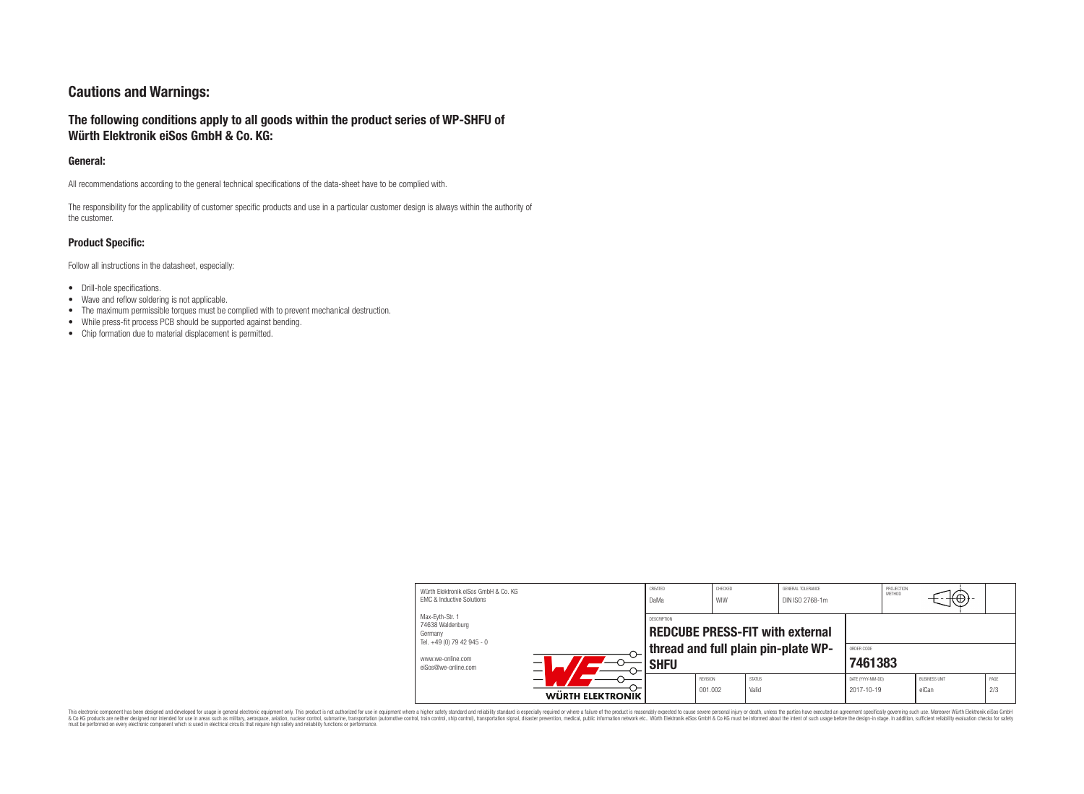## **Cautions and Warnings:**

## **The following conditions apply to all goods within the product series of WP-SHFU of Würth Elektronik eiSos GmbH & Co. KG:**

#### **General:**

All recommendations according to the general technical specifications of the data-sheet have to be complied with.

The responsibility for the applicability of customer specific products and use in a particular customer design is always within the authority of the customer.

#### **Product Specific:**

Follow all instructions in the datasheet, especially:

- Drill-hole specifications.
- Wave and reflow soldering is not applicable.
- The maximum permissible torques must be complied with to prevent mechanical destruction.
- While press-fit process PCB should be supported against bending.
- Chip formation due to material displacement is permitted.

| Würth Flektronik eiSos GmbH & Co. KG<br><b>EMC &amp; Inductive Solutions</b> |                  | CREATED<br>DaMa                                                                              | CHECKED<br>WIW      |                        | GENERAL TOLERANCE<br>DIN ISO 2768-1m |                                 | PROJECTION<br>METHOD | $+\oplus$                     |             |
|------------------------------------------------------------------------------|------------------|----------------------------------------------------------------------------------------------|---------------------|------------------------|--------------------------------------|---------------------------------|----------------------|-------------------------------|-------------|
| Max-Eyth-Str. 1<br>74638 Waldenburg<br>Germany<br>Tel. +49 (0) 79 42 945 - 0 |                  | DESCRIPTION<br><b>REDCUBE PRESS-FIT with external</b><br>thread and full plain pin-plate WP- |                     |                        |                                      | ORDER CODE                      |                      |                               |             |
| www.we-online.com<br>eiSos@we-online.com                                     |                  | <b>SHFU</b>                                                                                  |                     | 7461383                |                                      |                                 |                      |                               |             |
|                                                                              | WÜRTH ELEKTRONIK |                                                                                              | REVISION<br>001.002 | <b>STATUS</b><br>Valid |                                      | DATE (YYYY-MM-DD)<br>2017-10-19 |                      | <b>BUSINESS UNIT</b><br>eiCan | PAGE<br>2/3 |

This electronic component has been designed and developed for usage in general electronic equipment only. This product is not authorized for subserved requipment where a higher selection equipment where a higher selection